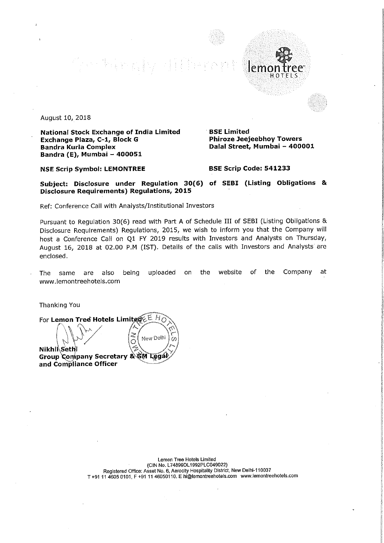$\mathcal{E}_{\frac{1}{2},\frac{1}{2}}^{\prime} \left( \mathbf{y} \right) = \frac{1}{2} \mathbf{q} \frac{1}{4} \left( \mathbf{y} \right)$ lie pa  $len$ 

August 10, 2018

National Stock Exchange of India Limited Exchange Plaza, C-1, Block G Bandra Kurla Complex Bandra (E), Mumbai — 400051

**BSE Limited<br>Phiroze Jeejeebhoy Towers** Dalal Street, Mumbai - 400001

HOTELS

NSE Scrip Symbol: LEMONTREE BSE Scrip Code: 541233

Subject: Disclosure under Regulation 30(6) of SEBI (Listing Obligations & Disclosure Requirements) Regulations, 2015

Ref: Conference Call with Analysts/Institutional Investors

Pursuant to Regulation 30(6) read with Part <sup>A</sup> of Schedule III of SEBI (Listing Obligations & Disclosure Requirements) Regulations, 2015, we wish to inform you that the Company will host <sup>a</sup> Conference Call on Q1 FY 2019 results with Investors and Analysts on Thursday, August 16, 2018 at 02.00 PM (IST). Details of the calls with Investors and Analysts are enclosed.

The same are also being uploaded on the website of the Company at www.|emontreehotels.com

Thanking You

g<br>
100 Tree Hotels Limite<br>
Sethi<br>
2011 - Contained For Lemon Tree' Hotels Limited  $\epsilon \in H_{\text{O}}$ A  $\overline{\cal G}$ t" New Delhi '9  $\circ$ Nikhi Sethi<br>Group Company Secretary & RM Laga Group Company Secretary & GM Legal)<br>and Compliance Officer and Compliance Officer

Lemon Tree Hotels Limited (ClN No. L74899DL1992PLC049022) Registered Office: Asset No. 6, Aerocity Hospitality District, New Delhi-110037 T +91 <sup>11</sup> 4605 0101. <sup>F</sup> +91 <sup>11</sup> 46050110. <sup>E</sup> hi@lemontreeholels.com wwwllemontreehotelscom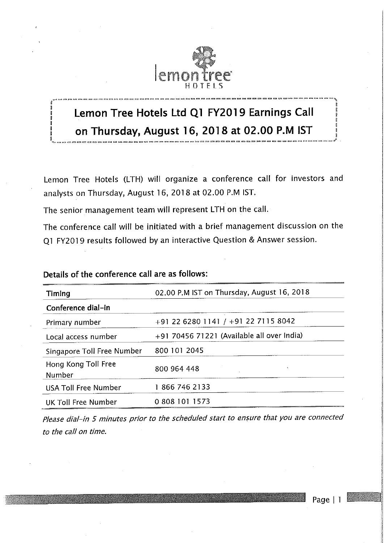

# Lemon Tree Hotels Ltd Q1 FY2019 Earnings Call onThursday, August 16, <sup>2018</sup> at 02.<sup>00</sup> P. <sup>M</sup> lST

Lemon Tree Hotels (LTH) will organize <sup>a</sup> conference call for investors and analysts on Thursday, August 16, 2018 at 02.00 P.M IST.

The senior management team will represent LTH on the call.

The conference call will be initiated with <sup>a</sup> brief management discussion on the Q1 FY2019 results followed by an interactive Question & Answer session.

| <b>Timing</b>                 | 02.00 P.M IST on Thursday, August 16, 2018 |  |
|-------------------------------|--------------------------------------------|--|
| Conference dial-in            |                                            |  |
| Primary number                | +91 22 6280 1141 / +91 22 7115 8042        |  |
| Local access number           | +91 70456 71221 (Available all over India) |  |
| Singapore Toll Free Number    | 800 101 2045                               |  |
| Hong Kong Toll Free<br>Number | 800 964 448<br>$\hat{\mathbf{v}}$          |  |
| <b>USA Toll Free Number</b>   | 18667462133                                |  |
| UK Toll Free Number           | 0 808 101 1573                             |  |

### Details of the conference call are as follows:

Please dial—in 5 minutes prior to the scheduled start to ensure that you are connected to the call on time.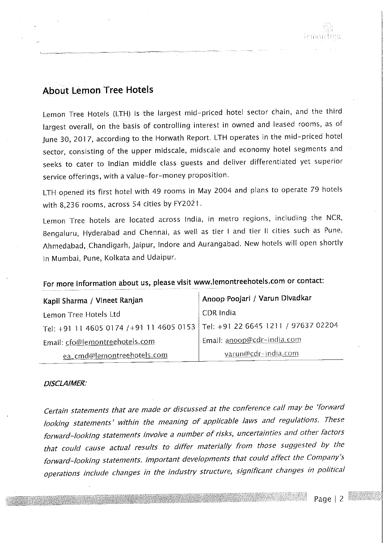## About Lemon Tree Hotels

Lemon Tree Hotels (LTH) is the largest mid~priced hotel sector chain, and the third largest overall, on the basis of controlling interest in owned and leased rooms, as of June 30, 2017, according to the Horwath Report. LTH operates in the mid—priced hotel sector, consisting of the upper midscale, midscale and economy hotel segments and seeks to cater to Indian middle class guests and deliver differentiated yet superior service offerings, with a value-for-money proposition.

LTH opened its first hotel with <sup>49</sup> rooms in May <sup>2004</sup> and plans to operate <sup>79</sup> hotels with 8,236 rooms, across 54 cities by FYZOZI.

Lemon Tree hotels are located across India, in metro regions, including the NCR, Bengaluru, Hyderabad and Chennai, as well as tier <sup>I</sup> and tier II cities such as Pune, Ahmedabad, Chandigarh, Jaipur, Indore and Aurangabad. New hotels will open shortly in Mumbai, Pune, Kolkata and Udaipur.

| Kapil Sharma / Vineet Ranjan                                                  | Anoop Poojari / Varun Divadkar |  |
|-------------------------------------------------------------------------------|--------------------------------|--|
| Lemon Tree Hotels Ltd                                                         | CDR India                      |  |
| Tel: +91 11 4605 0174 /+91 11 4605 0153   Tel: +91 22 6645 1211 / 97637 02204 |                                |  |
| Email: cfo@lemontreehotels.com                                                | Email: anoop@cdr-india.com     |  |
| ea_cmd@lemontreehotels.com                                                    | varun@cdr-india.com            |  |

## For more information about us, please visit www.lemontreehotels.com or contact:

#### DISCLAIMER:

Certain statements that are made or discussed at the conference call may be 'forward looking statements' Within the meaning of applicable laws and regulations. These forward—looking statements involve <sup>a</sup> number of risks, uncertainties and other factors that could cause actual results to differ materially from those suggested by the forward—looking statements. Important developments that could affect the Company's operations include changes in the industry structure, significant changes in political

Page | 2